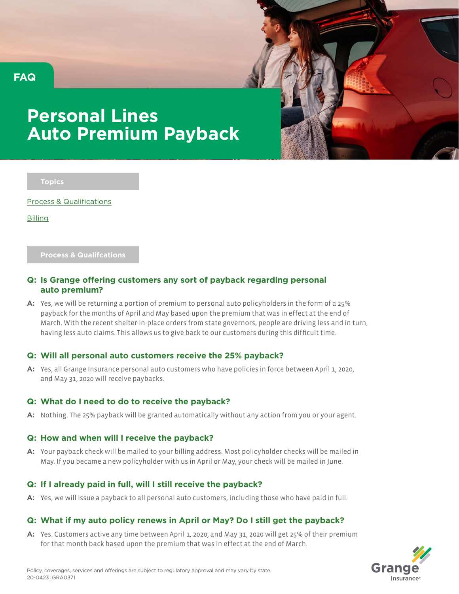



# **Personal Lines Auto Premium Payback**

**Topics**

Process & Qualifications

Billing

### **Process & Qualifcations**

## **Q: Is Grange offering customers any sort of payback regarding personal auto premium?**

**A:** Yes, we will be returning a portion of premium to personal auto policyholders in the form of a 25% payback for the months of April and May based upon the premium that was in effect at the end of March. With the recent shelter-in-place orders from state governors, people are driving less and in turn, having less auto claims. This allows us to give back to our customers during this difficult time.

## **Q: Will all personal auto customers receive the 25% payback?**

**A:** Yes, all Grange Insurance personal auto customers who have policies in force between April 1, 2020, and May 31, 2020 will receive paybacks.

## **Q: What do I need to do to receive the payback?**

**A:** Nothing. The 25% payback will be granted automatically without any action from you or your agent.

## **Q: How and when will I receive the payback?**

**A:** Your payback check will be mailed to your billing address. Most policyholder checks will be mailed in May. If you became a new policyholder with us in April or May, your check will be mailed in June.

## **Q: If I already paid in full, will I still receive the payback?**

**A:** Yes, we will issue a payback to all personal auto customers, including those who have paid in full.

## **Q: What if my auto policy renews in April or May? Do I still get the payback?**

**A:** Yes. Customers active any time between April 1, 2020, and May 31, 2020 will get 25% of their premium for that month back based upon the premium that was in effect at the end of March.